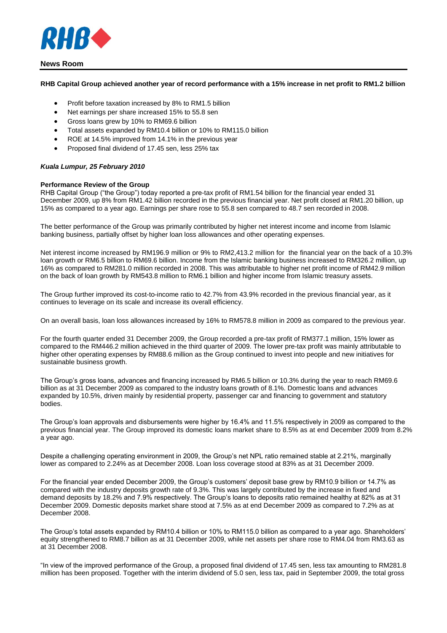

## **News Room**

## **RHB Capital Group achieved another year of record performance with a 15% increase in net profit to RM1.2 billion**

- Profit before taxation increased by 8% to RM1.5 billion
- Net earnings per share increased 15% to 55.8 sen
- Gross loans grew by 10% to RM69.6 billion
- Total assets expanded by RM10.4 billion or 10% to RM115.0 billion
- ROE at 14.5% improved from 14.1% in the previous year
- Proposed final dividend of 17.45 sen, less 25% tax

## *Kuala Lumpur, 25 February 2010*

## **Performance Review of the Group**

RHB Capital Group ("the Group") today reported a pre-tax profit of RM1.54 billion for the financial year ended 31 December 2009, up 8% from RM1.42 billion recorded in the previous financial year. Net profit closed at RM1.20 billion, up 15% as compared to a year ago. Earnings per share rose to 55.8 sen compared to 48.7 sen recorded in 2008.

The better performance of the Group was primarily contributed by higher net interest income and income from Islamic banking business, partially offset by higher loan loss allowances and other operating expenses.

Net interest income increased by RM196.9 million or 9% to RM2,413.2 million for the financial year on the back of a 10.3% loan growth or RM6.5 billion to RM69.6 billion. Income from the Islamic banking business increased to RM326.2 million, up 16% as compared to RM281.0 million recorded in 2008. This was attributable to higher net profit income of RM42.9 million on the back of loan growth by RM543.8 million to RM6.1 billion and higher income from Islamic treasury assets.

The Group further improved its cost-to-income ratio to 42.7% from 43.9% recorded in the previous financial year, as it continues to leverage on its scale and increase its overall efficiency.

On an overall basis, loan loss allowances increased by 16% to RM578.8 million in 2009 as compared to the previous year.

For the fourth quarter ended 31 December 2009, the Group recorded a pre-tax profit of RM377.1 million, 15% lower as compared to the RM446.2 million achieved in the third quarter of 2009. The lower pre-tax profit was mainly attributable to higher other operating expenses by RM88.6 million as the Group continued to invest into people and new initiatives for sustainable business growth.

The Group's gross loans, advances and financing increased by RM6.5 billion or 10.3% during the year to reach RM69.6 billion as at 31 December 2009 as compared to the industry loans growth of 8.1%. Domestic loans and advances expanded by 10.5%, driven mainly by residential property, passenger car and financing to government and statutory bodies.

The Group's loan approvals and disbursements were higher by 16.4% and 11.5% respectively in 2009 as compared to the previous financial year. The Group improved its domestic loans market share to 8.5% as at end December 2009 from 8.2% a year ago.

Despite a challenging operating environment in 2009, the Group's net NPL ratio remained stable at 2.21%, marginally lower as compared to 2.24% as at December 2008. Loan loss coverage stood at 83% as at 31 December 2009.

For the financial year ended December 2009, the Group's customers' deposit base grew by RM10.9 billion or 14.7% as compared with the industry deposits growth rate of 9.3%. This was largely contributed by the increase in fixed and demand deposits by 18.2% and 7.9% respectively. The Group's loans to deposits ratio remained healthy at 82% as at 31 December 2009. Domestic deposits market share stood at 7.5% as at end December 2009 as compared to 7.2% as at December 2008.

The Group's total assets expanded by RM10.4 billion or 10% to RM115.0 billion as compared to a year ago. Shareholders' equity strengthened to RM8.7 billion as at 31 December 2009, while net assets per share rose to RM4.04 from RM3.63 as at 31 December 2008.

"In view of the improved performance of the Group, a proposed final dividend of 17.45 sen, less tax amounting to RM281.8 million has been proposed. Together with the interim dividend of 5.0 sen, less tax, paid in September 2009, the total gross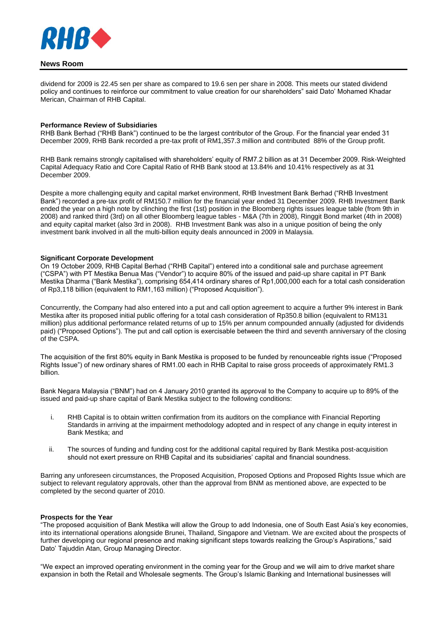

# **News Room**

dividend for 2009 is 22.45 sen per share as compared to 19.6 sen per share in 2008. This meets our stated dividend policy and continues to reinforce our commitment to value creation for our shareholders" said Dato' Mohamed Khadar Merican, Chairman of RHB Capital.

#### **Performance Review of Subsidiaries**

RHB Bank Berhad ("RHB Bank") continued to be the largest contributor of the Group. For the financial year ended 31 December 2009, RHB Bank recorded a pre-tax profit of RM1,357.3 million and contributed 88% of the Group profit.

RHB Bank remains strongly capitalised with shareholders' equity of RM7.2 billion as at 31 December 2009. Risk-Weighted Capital Adequacy Ratio and Core Capital Ratio of RHB Bank stood at 13.84% and 10.41% respectively as at 31 December 2009.

Despite a more challenging equity and capital market environment, RHB Investment Bank Berhad ("RHB Investment Bank") recorded a pre-tax profit of RM150.7 million for the financial year ended 31 December 2009. RHB Investment Bank ended the year on a high note by clinching the first (1st) position in the Bloomberg rights issues league table (from 9th in 2008) and ranked third (3rd) on all other Bloomberg league tables - M&A (7th in 2008), Ringgit Bond market (4th in 2008) and equity capital market (also 3rd in 2008). RHB Investment Bank was also in a unique position of being the only investment bank involved in all the multi-billion equity deals announced in 2009 in Malaysia.

#### **Significant Corporate Development**

On 19 October 2009, RHB Capital Berhad ("RHB Capital") entered into a conditional sale and purchase agreement ("CSPA") with PT Mestika Benua Mas ("Vendor") to acquire 80% of the issued and paid-up share capital in PT Bank Mestika Dharma ("Bank Mestika"), comprising 654,414 ordinary shares of Rp1,000,000 each for a total cash consideration of Rp3,118 billion (equivalent to RM1,163 million) ("Proposed Acquisition").

Concurrently, the Company had also entered into a put and call option agreement to acquire a further 9% interest in Bank Mestika after its proposed initial public offering for a total cash consideration of Rp350.8 billion (equivalent to RM131 million) plus additional performance related returns of up to 15% per annum compounded annually (adjusted for dividends paid) ("Proposed Options"). The put and call option is exercisable between the third and seventh anniversary of the closing of the CSPA.

The acquisition of the first 80% equity in Bank Mestika is proposed to be funded by renounceable rights issue ("Proposed Rights Issue") of new ordinary shares of RM1.00 each in RHB Capital to raise gross proceeds of approximately RM1.3 billion.

Bank Negara Malaysia ("BNM") had on 4 January 2010 granted its approval to the Company to acquire up to 89% of the issued and paid-up share capital of Bank Mestika subject to the following conditions:

- i. RHB Capital is to obtain written confirmation from its auditors on the compliance with Financial Reporting Standards in arriving at the impairment methodology adopted and in respect of any change in equity interest in Bank Mestika; and
- ii. The sources of funding and funding cost for the additional capital required by Bank Mestika post-acquisition should not exert pressure on RHB Capital and its subsidiaries' capital and financial soundness.

Barring any unforeseen circumstances, the Proposed Acquisition, Proposed Options and Proposed Rights Issue which are subject to relevant regulatory approvals, other than the approval from BNM as mentioned above, are expected to be completed by the second quarter of 2010.

## **Prospects for the Year**

"The proposed acquisition of Bank Mestika will allow the Group to add Indonesia, one of South East Asia's key economies, into its international operations alongside Brunei, Thailand, Singapore and Vietnam. We are excited about the prospects of further developing our regional presence and making significant steps towards realizing the Group's Aspirations," said Dato' Tajuddin Atan, Group Managing Director.

"We expect an improved operating environment in the coming year for the Group and we will aim to drive market share expansion in both the Retail and Wholesale segments. The Group's Islamic Banking and International businesses will